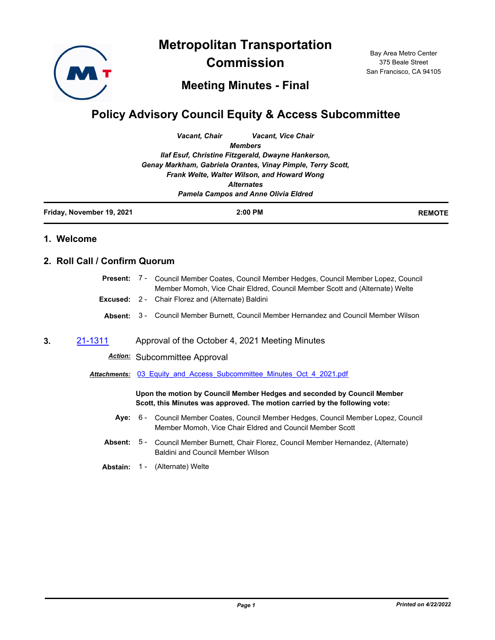

**Metropolitan Transportation** 

**Commission**

Bay Area Metro Center 375 Beale Street San Francisco, CA 94105

## **Meeting Minutes - Final**

# **Policy Advisory Council Equity & Access Subcommittee**

*Vacant, Chair Vacant, Vice Chair Members*

*Ilaf Esuf, Christine Fitzgerald, Dwayne Hankerson, Genay Markham, Gabriela Orantes, Vinay Pimple, Terry Scott, Frank Welte, Walter Wilson, and Howard Wong Alternates*

*Pamela Campos and Anne Olivia Eldred*

| Friday, November 19, 2021 | 2:00 PM | <b>REMOTE</b> |
|---------------------------|---------|---------------|
|                           |         |               |

#### **1. Welcome**

#### **2. Roll Call / Confirm Quorum**

| oan / Oonninn Quorum |  |                                                                                                                                                                                |
|----------------------|--|--------------------------------------------------------------------------------------------------------------------------------------------------------------------------------|
|                      |  | <b>Present:</b> 7 - Council Member Coates, Council Member Hedges, Council Member Lopez, Council<br>Member Momoh, Vice Chair Eldred, Council Member Scott and (Alternate) Welte |
|                      |  | <b>Excused:</b> 2 - Chair Florez and (Alternate) Baldini                                                                                                                       |
|                      |  | <b>Absent:</b> 3 - Council Member Burnett, Council Member Hernandez and Council Member Wilson                                                                                  |
|                      |  |                                                                                                                                                                                |

**3.** [21-1311](http://mtc.legistar.com/gateway.aspx?m=l&id=/matter.aspx?key=22903) Approval of the October 4, 2021 Meeting Minutes

### *Action:* Subcommittee Approval

*Attachments:* [03\\_Equity\\_and\\_Access\\_Subcommittee\\_Minutes\\_Oct\\_4\\_2021.pdf](http://mtc.legistar.com/gateway.aspx?M=F&ID=72ab9ba7-9290-4837-8fcc-6c43cdfcf393.pdf)

#### **Upon the motion by Council Member Hedges and seconded by Council Member Scott, this Minutes was approved. The motion carried by the following vote:**

- Aye: 6 Council Member Coates, Council Member Hedges, Council Member Lopez, Council Member Momoh, Vice Chair Eldred and Council Member Scott
- **Absent:** Council Member Burnett, Chair Florez, Council Member Hernandez, (Alternate) Baldini and Council Member Wilson Absent: 5 -
- **Abstain:** 1 (Alternate) Welte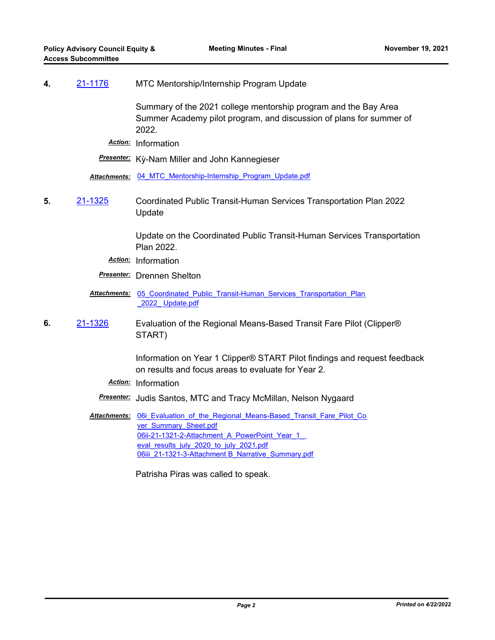#### **4.** [21-1176](http://mtc.legistar.com/gateway.aspx?m=l&id=/matter.aspx?key=22769) MTC Mentorship/Internship Program Update

Summary of the 2021 college mentorship program and the Bay Area Summer Academy pilot program, and discussion of plans for summer of 2022.

*Action:* Information

*Presenter:* Kỳ-Nam Miller and John Kannegieser

*Attachments:* [04\\_MTC\\_Mentorship-Internship\\_Program\\_Update.pdf](http://mtc.legistar.com/gateway.aspx?M=F&ID=ce7d4369-5205-45a0-a2de-fed4c2c12a0a.pdf)

**5.** [21-1325](http://mtc.legistar.com/gateway.aspx?m=l&id=/matter.aspx?key=22918) Coordinated Public Transit-Human Services Transportation Plan 2022 Update

> Update on the Coordinated Public Transit-Human Services Transportation Plan 2022.

*Action:* Information

*Presenter:* Drennen Shelton

Attachments: 05 Coordinated Public Transit-Human Services Transportation Plan \_2022\_ Update.pdf

**6.** [21-1326](http://mtc.legistar.com/gateway.aspx?m=l&id=/matter.aspx?key=22919) Evaluation of the Regional Means-Based Transit Fare Pilot (Clipper® START)

> Information on Year 1 Clipper® START Pilot findings and request feedback on results and focus areas to evaluate for Year 2.

- *Action:* Information
- *Presenter:* Judis Santos, MTC and Tracy McMillan, Nelson Nygaard

Attachments: 06i Evaluation of the Regional Means-Based Transit Fare Pilot Co ver Summary Sheet.pdf 06ii-21-1321-2-Attachment A PowerPoint Year 1 eval\_results\_july\_2020\_to\_july\_2021.pdf [06iii\\_21-1321-3-Attachment B\\_Narrative\\_Summary.pdf](http://mtc.legistar.com/gateway.aspx?M=F&ID=7c73e964-473b-4482-9300-d9687d79123e.pdf)

Patrisha Piras was called to speak.